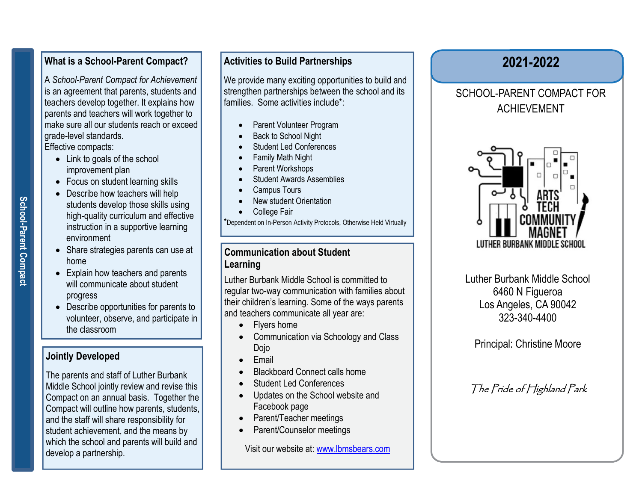### What is a School-Parent Compact?

 teachers develop together. It explains how A School-Parent Compact for Achievement is an agreement that parents, students and parents and teachers will work together to make sure all our students reach or exceed grade-level standards.

Effective compacts:

- Link to goals of the school improvement plan
- Focus on student learning skills
- School-<br>
School-Parent Philosopher<br>
France Pharent Philosopher<br>
Schore prints • Describe how teachers will help students develop those skills using high-quality curriculum and effective instruction in a supportive learning environment
	- Share strategies parents can use at home
- Solution<br>
Brown bome<br>
Solution<br>
Solution<br>
Will community • Explain how teachers and parents will communicate about student progress
	- Describe opportunities for parents to volunteer, observe, and participate in the classroom

### Jointly Developed

The parents and staff of Luther Burbank Middle School jointly review and revise this Compact on an annual basis. Together the Compact will outline how parents, students, and the staff will share responsibility for student achievement, and the means by which the school and parents will build and develop a partnership.

### Activities to Build Partnerships

We provide many exciting opportunities to build and strengthen partnerships between the school and its families. Some activities include\*:

- Parent Volunteer Program
- Back to School Night
- Student Led Conferences
- Family Math Night
- Parent Workshops
- Student Awards Assemblies
- Campus Tours
- New student Orientation
- College Fair

\*Dependent on In-Person Activity Protocols, Otherwise Held Virtually

#### Communication about Student Learning

Luther Burbank Middle School is committed to regular two-way communication with families about their children's learning. Some of the ways parents and teachers communicate all year are:

- Flyers home
- Communication via Schoology and Class Dojo
- Email
- Blackboard Connect calls home
- Student Led Conferences
- Updates on the School website and Facebook page
- Parent/Teacher meetings
- Parent/Counselor meetings

Visit our website at: www.lbmsbears.com

## 2021-2022

### SCHOOL-PARENT COMPACT FOR ACHIEVEMENT



Luther Burbank Middle School 6460 N Figueroa Los Angeles, CA 90042 323-340-4400

Principal: Christine Moore

## The Pride of Highland Park